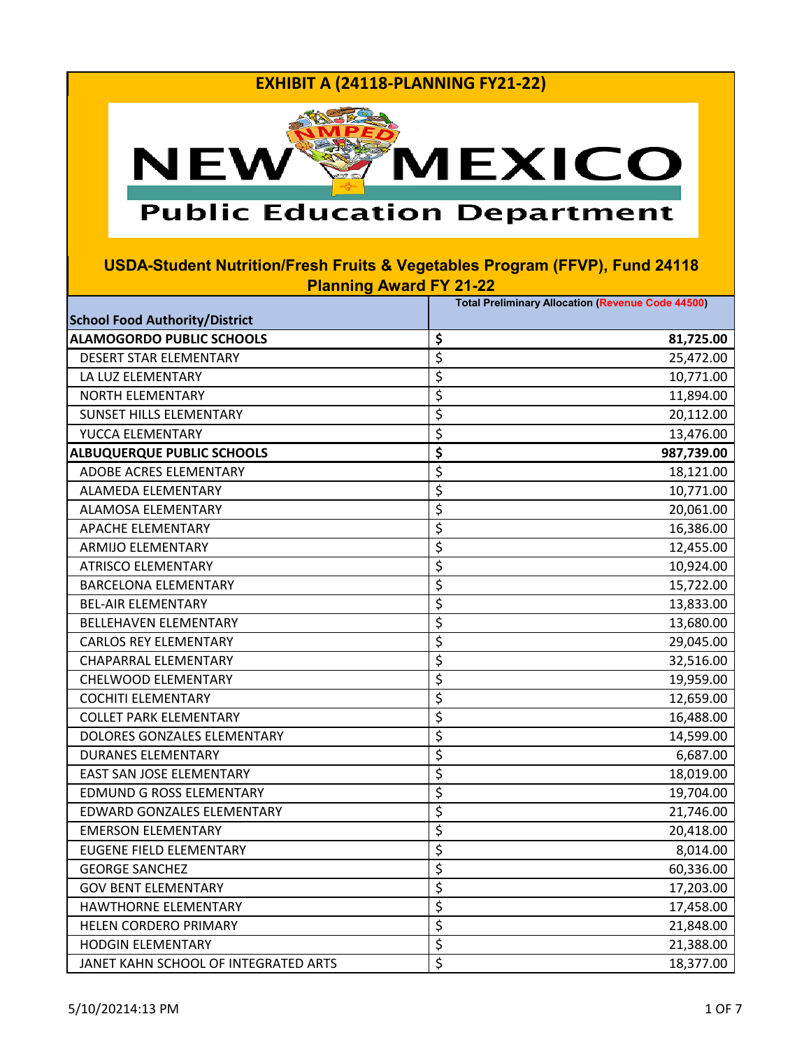

# **Public Education Department**

| <b>School Food Authority/District</b> | <b>Total Preliminary Allocation (Revenue Code 44500)</b> |
|---------------------------------------|----------------------------------------------------------|
| <b>ALAMOGORDO PUBLIC SCHOOLS</b>      | \$<br>81,725.00                                          |
| <b>DESERT STAR ELEMENTARY</b>         | \$<br>25,472.00                                          |
| LA LUZ ELEMENTARY                     | \$<br>10,771.00                                          |
| <b>NORTH ELEMENTARY</b>               | \$<br>11,894.00                                          |
| <b>SUNSET HILLS ELEMENTARY</b>        | \$<br>20,112.00                                          |
| YUCCA ELEMENTARY                      | \$<br>13,476.00                                          |
| <b>ALBUQUERQUE PUBLIC SCHOOLS</b>     | \$<br>987,739.00                                         |
| ADOBE ACRES ELEMENTARY                | \$<br>18,121.00                                          |
| ALAMEDA ELEMENTARY                    | \$<br>10,771.00                                          |
| ALAMOSA ELEMENTARY                    | \$<br>20,061.00                                          |
| APACHE ELEMENTARY                     | \$<br>16,386.00                                          |
| <b>ARMIJO ELEMENTARY</b>              | \$<br>12,455.00                                          |
| <b>ATRISCO ELEMENTARY</b>             | \$<br>10,924.00                                          |
| <b>BARCELONA ELEMENTARY</b>           | \$<br>15,722.00                                          |
| <b>BEL-AIR ELEMENTARY</b>             | \$<br>13,833.00                                          |
| <b>BELLEHAVEN ELEMENTARY</b>          | \$<br>13,680.00                                          |
| <b>CARLOS REY ELEMENTARY</b>          | \$<br>29,045.00                                          |
| <b>CHAPARRAL ELEMENTARY</b>           | \$<br>32,516.00                                          |
| CHELWOOD ELEMENTARY                   | \$<br>19,959.00                                          |
| <b>COCHITI ELEMENTARY</b>             | \$<br>12,659.00                                          |
| <b>COLLET PARK ELEMENTARY</b>         | \$<br>16,488.00                                          |
| DOLORES GONZALES ELEMENTARY           | \$<br>14,599.00                                          |
| <b>DURANES ELEMENTARY</b>             | \$<br>6,687.00                                           |
| EAST SAN JOSE ELEMENTARY              | \$<br>18,019.00                                          |
| <b>EDMUND G ROSS ELEMENTARY</b>       | \$<br>19,704.00                                          |
| EDWARD GONZALES ELEMENTARY            | \$<br>21,746.00                                          |
| <b>EMERSON ELEMENTARY</b>             | \$<br>20,418.00                                          |
| EUGENE FIELD ELEMENTARY               | \$<br>8,014.00                                           |
| <b>GEORGE SANCHEZ</b>                 | \$<br>60,336.00                                          |
| <b>GOV BENT ELEMENTARY</b>            | \$<br>17,203.00                                          |
| HAWTHORNE ELEMENTARY                  | \$<br>17,458.00                                          |
| HELEN CORDERO PRIMARY                 | \$<br>21,848.00                                          |
| <b>HODGIN ELEMENTARY</b>              | \$<br>21,388.00                                          |
| JANET KAHN SCHOOL OF INTEGRATED ARTS  | \$<br>18,377.00                                          |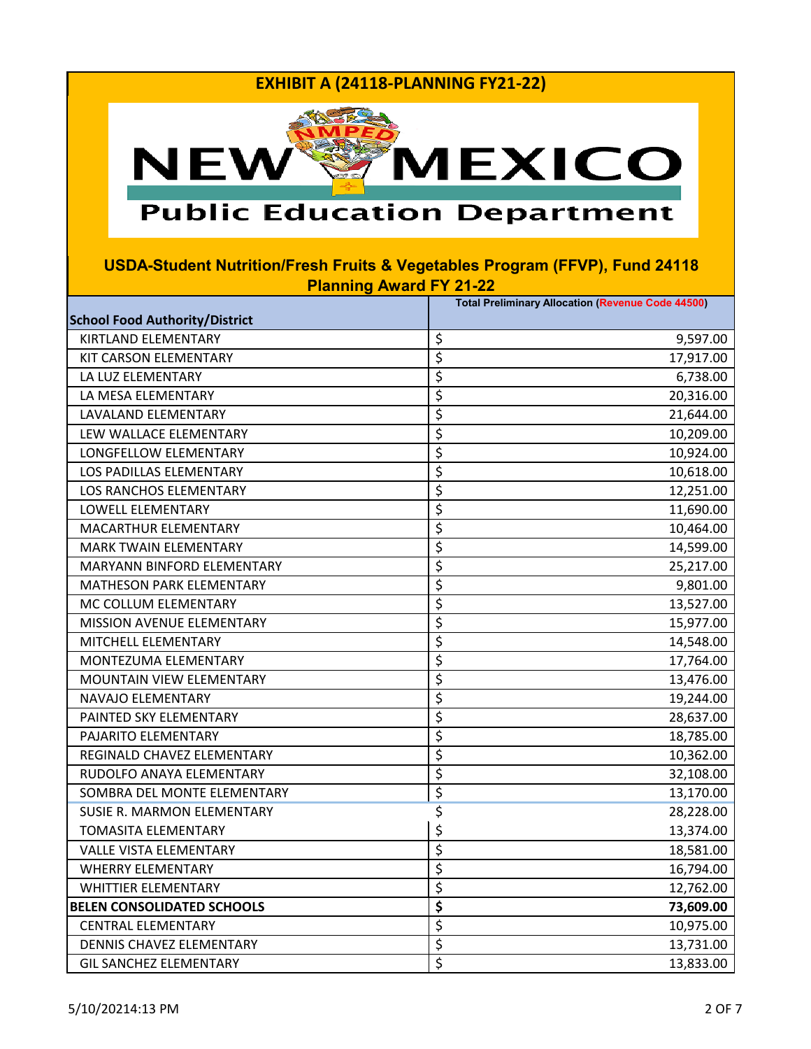

# **Public Education Department**

|                                       | <b>Total Preliminary Allocation (Revenue Code 44500)</b> |
|---------------------------------------|----------------------------------------------------------|
| <b>School Food Authority/District</b> |                                                          |
| <b>KIRTLAND ELEMENTARY</b>            | \$<br>9,597.00                                           |
| KIT CARSON ELEMENTARY                 | \$<br>17,917.00                                          |
| LA LUZ ELEMENTARY                     | \$<br>6,738.00                                           |
| LA MESA ELEMENTARY                    | \$<br>20,316.00                                          |
| LAVALAND ELEMENTARY                   | \$<br>21,644.00                                          |
| LEW WALLACE ELEMENTARY                | \$<br>10,209.00                                          |
| LONGFELLOW ELEMENTARY                 | \$<br>10,924.00                                          |
| LOS PADILLAS ELEMENTARY               | \$<br>10,618.00                                          |
| LOS RANCHOS ELEMENTARY                | \$<br>12,251.00                                          |
| LOWELL ELEMENTARY                     | \$<br>11,690.00                                          |
| MACARTHUR ELEMENTARY                  | \$<br>10,464.00                                          |
| <b>MARK TWAIN ELEMENTARY</b>          | \$<br>14,599.00                                          |
| MARYANN BINFORD ELEMENTARY            | \$<br>25,217.00                                          |
| <b>MATHESON PARK ELEMENTARY</b>       | \$<br>9,801.00                                           |
| MC COLLUM ELEMENTARY                  | \$<br>13,527.00                                          |
| <b>MISSION AVENUE ELEMENTARY</b>      | \$<br>15,977.00                                          |
| MITCHELL ELEMENTARY                   | \$<br>14,548.00                                          |
| MONTEZUMA ELEMENTARY                  | \$<br>17,764.00                                          |
| MOUNTAIN VIEW ELEMENTARY              | \$<br>13,476.00                                          |
| NAVAJO ELEMENTARY                     | \$<br>19,244.00                                          |
| PAINTED SKY ELEMENTARY                | \$<br>28,637.00                                          |
| PAJARITO ELEMENTARY                   | \$<br>18,785.00                                          |
| REGINALD CHAVEZ ELEMENTARY            | \$<br>10,362.00                                          |
| RUDOLFO ANAYA ELEMENTARY              | \$<br>32,108.00                                          |
| SOMBRA DEL MONTE ELEMENTARY           | \$<br>13,170.00                                          |
| SUSIE R. MARMON ELEMENTARY            | \$<br>28,228.00                                          |
| <b>TOMASITA ELEMENTARY</b>            | \$<br>13,374.00                                          |
| <b>VALLE VISTA ELEMENTARY</b>         | \$<br>18,581.00                                          |
| <b>WHERRY ELEMENTARY</b>              | \$<br>16,794.00                                          |
| <b>WHITTIER ELEMENTARY</b>            | \$<br>12,762.00                                          |
| <b>BELEN CONSOLIDATED SCHOOLS</b>     | \$<br>73,609.00                                          |
| <b>CENTRAL ELEMENTARY</b>             | \$<br>10,975.00                                          |
| DENNIS CHAVEZ ELEMENTARY              | \$<br>13,731.00                                          |
| <b>GIL SANCHEZ ELEMENTARY</b>         | \$<br>13,833.00                                          |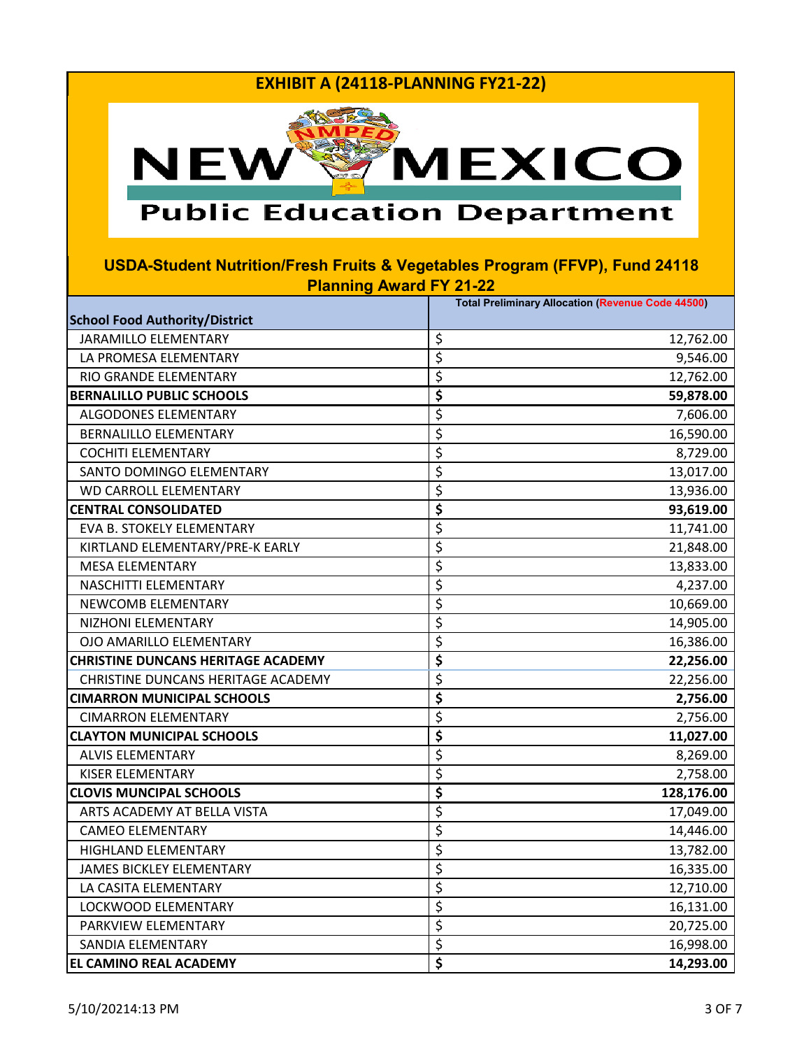

# **Public Education Department**

|                                           | <b>Total Preliminary Allocation (Revenue Code 44500)</b> |
|-------------------------------------------|----------------------------------------------------------|
| <b>School Food Authority/District</b>     |                                                          |
| <b>JARAMILLO ELEMENTARY</b>               | \$<br>12,762.00                                          |
| LA PROMESA ELEMENTARY                     | \$<br>9,546.00                                           |
| RIO GRANDE ELEMENTARY                     | \$<br>12,762.00                                          |
| <b>BERNALILLO PUBLIC SCHOOLS</b>          | \$<br>59,878.00                                          |
| ALGODONES ELEMENTARY                      | \$<br>7,606.00                                           |
| <b>BERNALILLO ELEMENTARY</b>              | \$<br>16,590.00                                          |
| <b>COCHITI ELEMENTARY</b>                 | \$<br>8,729.00                                           |
| SANTO DOMINGO ELEMENTARY                  | \$<br>13,017.00                                          |
| <b>WD CARROLL ELEMENTARY</b>              | \$<br>13,936.00                                          |
| <b>CENTRAL CONSOLIDATED</b>               | \$<br>93,619.00                                          |
| EVA B. STOKELY ELEMENTARY                 | \$<br>11,741.00                                          |
| KIRTLAND ELEMENTARY/PRE-K EARLY           | \$<br>21,848.00                                          |
| <b>MESA ELEMENTARY</b>                    | \$<br>13,833.00                                          |
| NASCHITTI ELEMENTARY                      | \$<br>4,237.00                                           |
| NEWCOMB ELEMENTARY                        | \$<br>10,669.00                                          |
| NIZHONI ELEMENTARY                        | \$<br>14,905.00                                          |
| OJO AMARILLO ELEMENTARY                   | \$<br>16,386.00                                          |
| <b>CHRISTINE DUNCANS HERITAGE ACADEMY</b> | \$<br>22,256.00                                          |
| CHRISTINE DUNCANS HERITAGE ACADEMY        | \$<br>22,256.00                                          |
| <b>CIMARRON MUNICIPAL SCHOOLS</b>         | \$<br>2,756.00                                           |
| <b>CIMARRON ELEMENTARY</b>                | \$<br>2,756.00                                           |
| <b>CLAYTON MUNICIPAL SCHOOLS</b>          | \$<br>11,027.00                                          |
| <b>ALVIS ELEMENTARY</b>                   | \$<br>8,269.00                                           |
| <b>KISER ELEMENTARY</b>                   | \$<br>2,758.00                                           |
| <b>CLOVIS MUNCIPAL SCHOOLS</b>            | \$<br>128,176.00                                         |
| ARTS ACADEMY AT BELLA VISTA               | \$<br>17,049.00                                          |
| <b>CAMEO ELEMENTARY</b>                   | \$<br>14,446.00                                          |
| <b>HIGHLAND ELEMENTARY</b>                | \$<br>13,782.00                                          |
| <b>JAMES BICKLEY ELEMENTARY</b>           | \$<br>16,335.00                                          |
| LA CASITA ELEMENTARY                      | \$<br>12,710.00                                          |
| LOCKWOOD ELEMENTARY                       | \$<br>16,131.00                                          |
| PARKVIEW ELEMENTARY                       | \$<br>20,725.00                                          |
| SANDIA ELEMENTARY                         | \$<br>16,998.00                                          |
| IEL CAMINO REAL ACADEMY                   | \$<br>14,293.00                                          |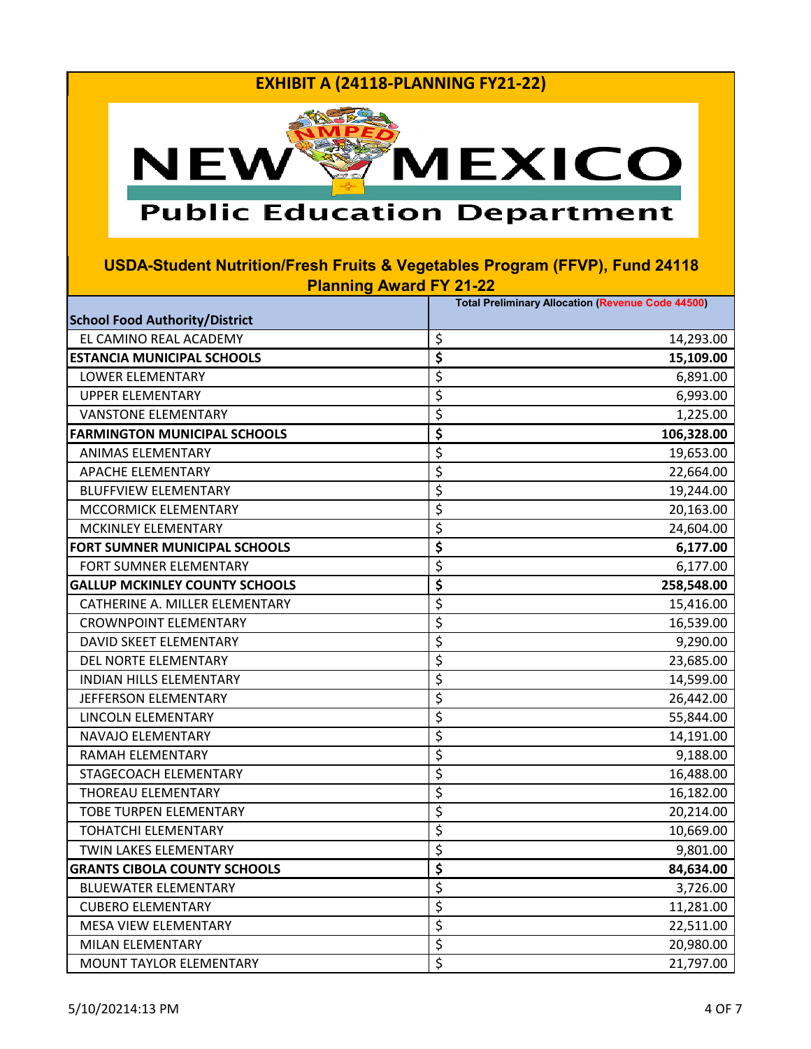

# **Public Education Department**

|                                       | <b>Total Preliminary Allocation (Revenue Code 44500)</b> |
|---------------------------------------|----------------------------------------------------------|
| <b>School Food Authority/District</b> |                                                          |
| EL CAMINO REAL ACADEMY                | \$<br>14,293.00                                          |
| <b>ESTANCIA MUNICIPAL SCHOOLS</b>     | \$<br>15,109.00                                          |
| LOWER ELEMENTARY                      | \$<br>6,891.00                                           |
| <b>UPPER ELEMENTARY</b>               | \$<br>6,993.00                                           |
| <b>VANSTONE ELEMENTARY</b>            | \$<br>1,225.00                                           |
| <b>FARMINGTON MUNICIPAL SCHOOLS</b>   | \$<br>106,328.00                                         |
| ANIMAS ELEMENTARY                     | \$<br>19,653.00                                          |
| APACHE ELEMENTARY                     | \$<br>22,664.00                                          |
| <b>BLUFFVIEW ELEMENTARY</b>           | \$<br>19,244.00                                          |
| MCCORMICK ELEMENTARY                  | \$<br>20,163.00                                          |
| MCKINLEY ELEMENTARY                   | \$<br>24,604.00                                          |
| FORT SUMNER MUNICIPAL SCHOOLS         | \$<br>6,177.00                                           |
| FORT SUMNER ELEMENTARY                | \$<br>6,177.00                                           |
| <b>GALLUP MCKINLEY COUNTY SCHOOLS</b> | \$<br>258,548.00                                         |
| CATHERINE A. MILLER ELEMENTARY        | \$<br>15,416.00                                          |
| <b>CROWNPOINT ELEMENTARY</b>          | \$<br>16,539.00                                          |
| DAVID SKEET ELEMENTARY                | \$<br>9,290.00                                           |
| DEL NORTE ELEMENTARY                  | \$<br>23,685.00                                          |
| <b>INDIAN HILLS ELEMENTARY</b>        | \$<br>14,599.00                                          |
| JEFFERSON ELEMENTARY                  | \$<br>26,442.00                                          |
| LINCOLN ELEMENTARY                    | \$<br>55,844.00                                          |
| NAVAJO ELEMENTARY                     | \$<br>14,191.00                                          |
| RAMAH ELEMENTARY                      | \$<br>9,188.00                                           |
| STAGECOACH ELEMENTARY                 | \$<br>16,488.00                                          |
| <b>THOREAU ELEMENTARY</b>             | \$<br>16,182.00                                          |
| <b>TOBE TURPEN ELEMENTARY</b>         | \$<br>20,214.00                                          |
| TOHATCHI ELEMENTARY                   | \$<br>10,669.00                                          |
| TWIN LAKES ELEMENTARY                 | \$<br>9,801.00                                           |
| <b>GRANTS CIBOLA COUNTY SCHOOLS</b>   | \$<br>84,634.00                                          |
| <b>BLUEWATER ELEMENTARY</b>           | \$<br>3,726.00                                           |
| <b>CUBERO ELEMENTARY</b>              | \$<br>11,281.00                                          |
| MESA VIEW ELEMENTARY                  | \$<br>22,511.00                                          |
| MILAN ELEMENTARY                      | \$<br>20,980.00                                          |
| MOUNT TAYLOR ELEMENTARY               | \$<br>21,797.00                                          |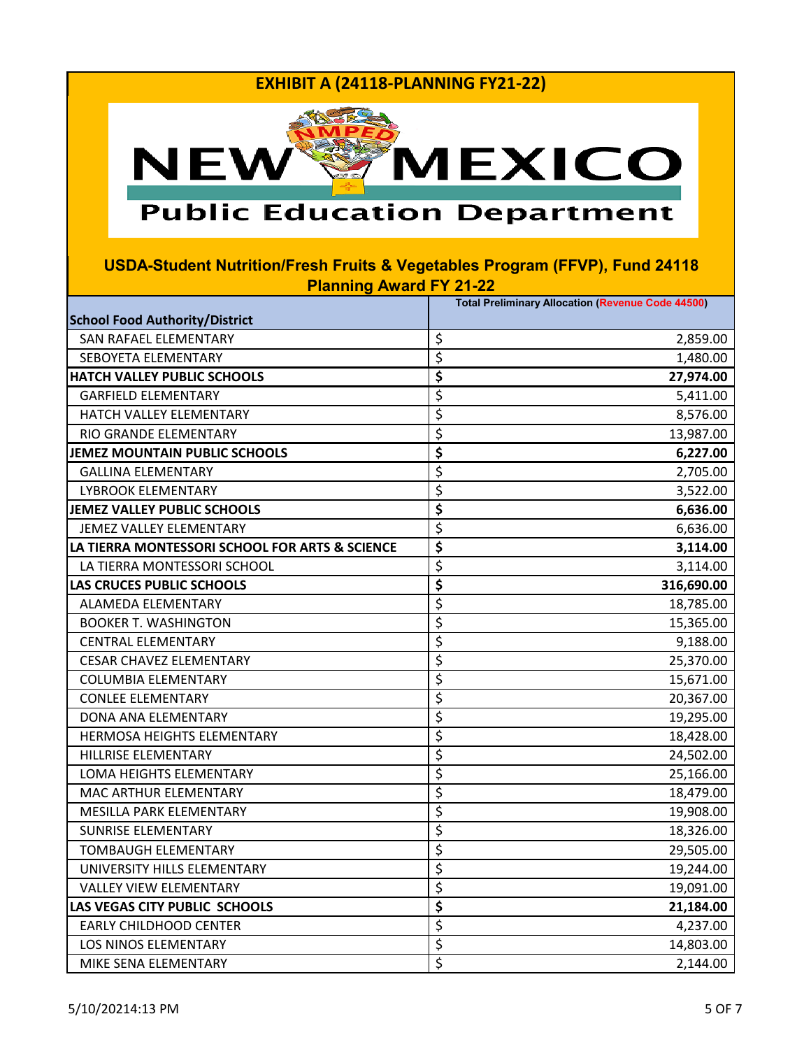

## **Public Education Department**

|                                                | <b>Total Preliminary Allocation (Revenue Code 44500)</b> |
|------------------------------------------------|----------------------------------------------------------|
| <b>School Food Authority/District</b>          |                                                          |
| SAN RAFAEL ELEMENTARY                          | \$<br>2,859.00                                           |
| SEBOYETA ELEMENTARY                            | \$<br>1,480.00                                           |
| <b>HATCH VALLEY PUBLIC SCHOOLS</b>             | \$<br>27,974.00                                          |
| <b>GARFIELD ELEMENTARY</b>                     | \$<br>5,411.00                                           |
| HATCH VALLEY ELEMENTARY                        | \$<br>8,576.00                                           |
| RIO GRANDE ELEMENTARY                          | \$<br>13,987.00                                          |
| JEMEZ MOUNTAIN PUBLIC SCHOOLS                  | \$<br>6,227.00                                           |
| <b>GALLINA ELEMENTARY</b>                      | \$<br>2,705.00                                           |
| <b>LYBROOK ELEMENTARY</b>                      | \$<br>3,522.00                                           |
| JEMEZ VALLEY PUBLIC SCHOOLS                    | \$<br>6,636.00                                           |
| JEMEZ VALLEY ELEMENTARY                        | \$<br>6,636.00                                           |
| LA TIERRA MONTESSORI SCHOOL FOR ARTS & SCIENCE | \$<br>3,114.00                                           |
| LA TIERRA MONTESSORI SCHOOL                    | \$<br>3,114.00                                           |
| <b>LAS CRUCES PUBLIC SCHOOLS</b>               | \$<br>316,690.00                                         |
| ALAMEDA ELEMENTARY                             | \$<br>18,785.00                                          |
| <b>BOOKER T. WASHINGTON</b>                    | \$<br>15,365.00                                          |
| <b>CENTRAL ELEMENTARY</b>                      | \$<br>9,188.00                                           |
| <b>CESAR CHAVEZ ELEMENTARY</b>                 | \$<br>25,370.00                                          |
| <b>COLUMBIA ELEMENTARY</b>                     | \$<br>15,671.00                                          |
| <b>CONLEE ELEMENTARY</b>                       | \$<br>20,367.00                                          |
| DONA ANA ELEMENTARY                            | \$<br>19,295.00                                          |
| <b>HERMOSA HEIGHTS ELEMENTARY</b>              | \$<br>18,428.00                                          |
| HILLRISE ELEMENTARY                            | \$<br>24,502.00                                          |
| LOMA HEIGHTS ELEMENTARY                        | \$<br>25,166.00                                          |
| MAC ARTHUR ELEMENTARY                          | \$<br>18,479.00                                          |
| MESILLA PARK ELEMENTARY                        | \$<br>19,908.00                                          |
| <b>SUNRISE ELEMENTARY</b>                      | \$<br>18,326.00                                          |
| <b>TOMBAUGH ELEMENTARY</b>                     | \$<br>29,505.00                                          |
| UNIVERSITY HILLS ELEMENTARY                    | \$<br>19,244.00                                          |
| <b>VALLEY VIEW ELEMENTARY</b>                  | \$<br>19,091.00                                          |
| LAS VEGAS CITY PUBLIC SCHOOLS                  | \$<br>21,184.00                                          |
| <b>EARLY CHILDHOOD CENTER</b>                  | \$<br>4,237.00                                           |
| LOS NINOS ELEMENTARY                           | \$<br>14,803.00                                          |
| MIKE SENA ELEMENTARY                           | \$<br>2,144.00                                           |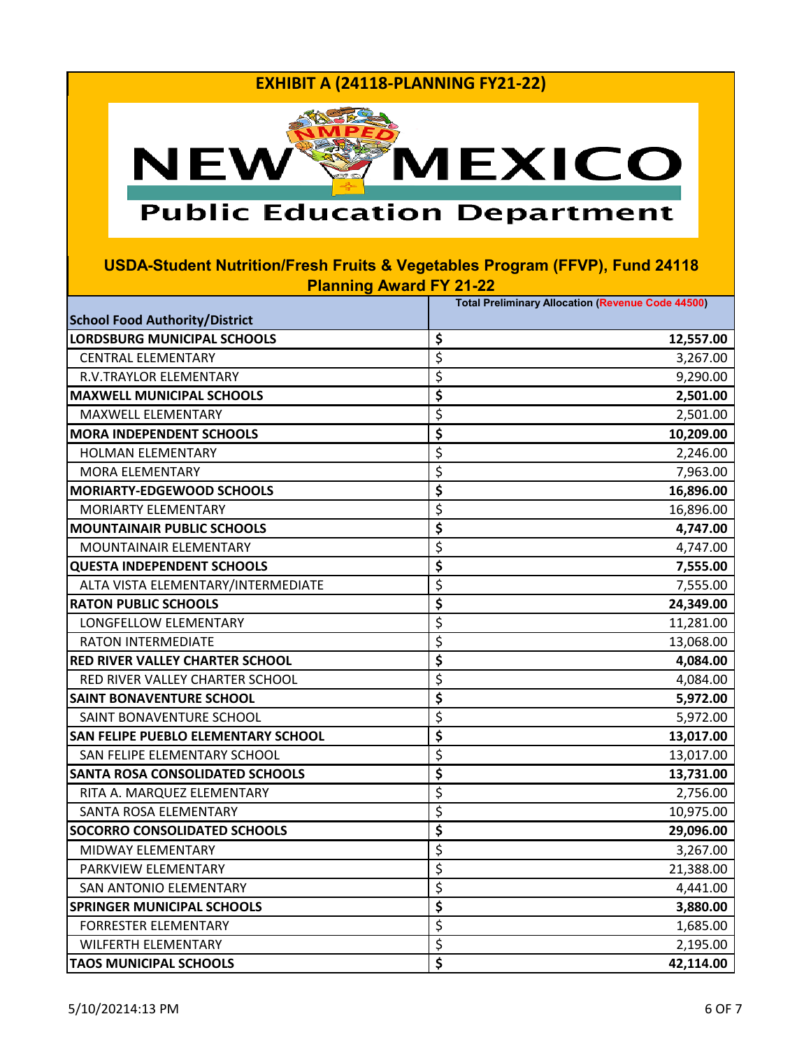

# **Public Education Department**

|                                            | <b>Total Preliminary Allocation (Revenue Code 44500)</b> |
|--------------------------------------------|----------------------------------------------------------|
| <b>School Food Authority/District</b>      |                                                          |
| <b>LORDSBURG MUNICIPAL SCHOOLS</b>         | \$<br>12,557.00                                          |
| <b>CENTRAL ELEMENTARY</b>                  | \$<br>3,267.00                                           |
| R.V.TRAYLOR ELEMENTARY                     | \$<br>9,290.00                                           |
| <b>MAXWELL MUNICIPAL SCHOOLS</b>           | \$<br>2,501.00                                           |
| MAXWELL ELEMENTARY                         | \$<br>2,501.00                                           |
| <b>MORA INDEPENDENT SCHOOLS</b>            | \$<br>10,209.00                                          |
| <b>HOLMAN ELEMENTARY</b>                   | \$<br>2,246.00                                           |
| <b>MORA ELEMENTARY</b>                     | \$<br>7,963.00                                           |
| <b>MORIARTY-EDGEWOOD SCHOOLS</b>           | \$<br>16,896.00                                          |
| MORIARTY ELEMENTARY                        | \$<br>16,896.00                                          |
| <b>MOUNTAINAIR PUBLIC SCHOOLS</b>          | \$<br>4,747.00                                           |
| MOUNTAINAIR ELEMENTARY                     | \$<br>4,747.00                                           |
| <b>QUESTA INDEPENDENT SCHOOLS</b>          | \$<br>7,555.00                                           |
| ALTA VISTA ELEMENTARY/INTERMEDIATE         | \$<br>7,555.00                                           |
| <b>RATON PUBLIC SCHOOLS</b>                | \$<br>24,349.00                                          |
| LONGFELLOW ELEMENTARY                      | \$<br>11,281.00                                          |
| <b>RATON INTERMEDIATE</b>                  | \$<br>13,068.00                                          |
| <b>RED RIVER VALLEY CHARTER SCHOOL</b>     | \$<br>4,084.00                                           |
| RED RIVER VALLEY CHARTER SCHOOL            | \$<br>4,084.00                                           |
| <b>SAINT BONAVENTURE SCHOOL</b>            | \$<br>5,972.00                                           |
| SAINT BONAVENTURE SCHOOL                   | \$<br>5,972.00                                           |
| <b>SAN FELIPE PUEBLO ELEMENTARY SCHOOL</b> | \$<br>13,017.00                                          |
| SAN FELIPE ELEMENTARY SCHOOL               | \$<br>13,017.00                                          |
| <b>SANTA ROSA CONSOLIDATED SCHOOLS</b>     | \$<br>13,731.00                                          |
| RITA A. MARQUEZ ELEMENTARY                 | \$<br>2,756.00                                           |
| SANTA ROSA ELEMENTARY                      | \$<br>10,975.00                                          |
| <b>SOCORRO CONSOLIDATED SCHOOLS</b>        | \$<br>29,096.00                                          |
| MIDWAY ELEMENTARY                          | \$<br>3,267.00                                           |
| PARKVIEW ELEMENTARY                        | \$<br>21,388.00                                          |
| SAN ANTONIO ELEMENTARY                     | \$<br>4,441.00                                           |
| <b>SPRINGER MUNICIPAL SCHOOLS</b>          | \$<br>3,880.00                                           |
| <b>FORRESTER ELEMENTARY</b>                | \$<br>1,685.00                                           |
| <b>WILFERTH ELEMENTARY</b>                 | \$<br>2,195.00                                           |
| <b>TAOS MUNICIPAL SCHOOLS</b>              | \$<br>42,114.00                                          |